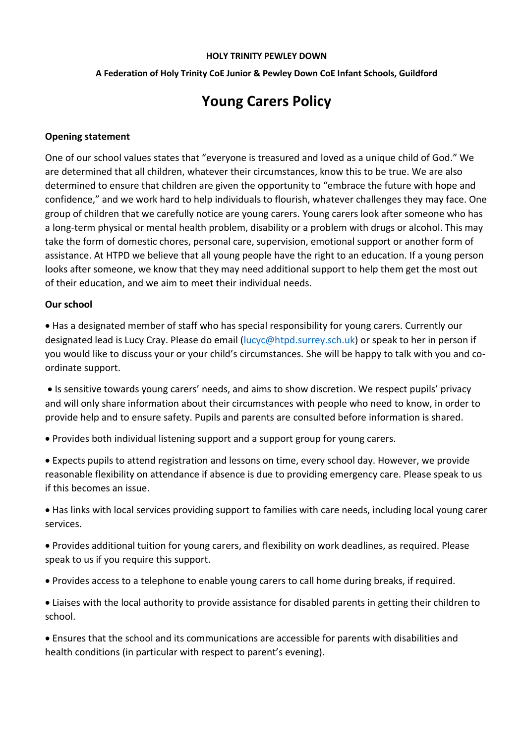#### **HOLY TRINITY PEWLEY DOWN**

### **A Federation of Holy Trinity CoE Junior & Pewley Down CoE Infant Schools, Guildford**

# **Young Carers Policy**

### **Opening statement**

One of our school values states that "everyone is treasured and loved as a unique child of God." We are determined that all children, whatever their circumstances, know this to be true. We are also determined to ensure that children are given the opportunity to "embrace the future with hope and confidence," and we work hard to help individuals to flourish, whatever challenges they may face. One group of children that we carefully notice are young carers. Young carers look after someone who has a long-term physical or mental health problem, disability or a problem with drugs or alcohol. This may take the form of domestic chores, personal care, supervision, emotional support or another form of assistance. At HTPD we believe that all young people have the right to an education. If a young person looks after someone, we know that they may need additional support to help them get the most out of their education, and we aim to meet their individual needs.

## **Our school**

 Has a designated member of staff who has special responsibility for young carers. Currently our designated lead is Lucy Cray. Please do email [\(lucyc@htpd.surrey.sch.uk\)](mailto:lucyc@htpd.surrey.sch.uk) or speak to her in person if you would like to discuss your or your child's circumstances. She will be happy to talk with you and coordinate support.

 Is sensitive towards young carers' needs, and aims to show discretion. We respect pupils' privacy and will only share information about their circumstances with people who need to know, in order to provide help and to ensure safety. Pupils and parents are consulted before information is shared.

- Provides both individual listening support and a support group for young carers.
- Expects pupils to attend registration and lessons on time, every school day. However, we provide reasonable flexibility on attendance if absence is due to providing emergency care. Please speak to us if this becomes an issue.
- Has links with local services providing support to families with care needs, including local young carer services.
- Provides additional tuition for young carers, and flexibility on work deadlines, as required. Please speak to us if you require this support.
- Provides access to a telephone to enable young carers to call home during breaks, if required.
- Liaises with the local authority to provide assistance for disabled parents in getting their children to school.

 Ensures that the school and its communications are accessible for parents with disabilities and health conditions (in particular with respect to parent's evening).